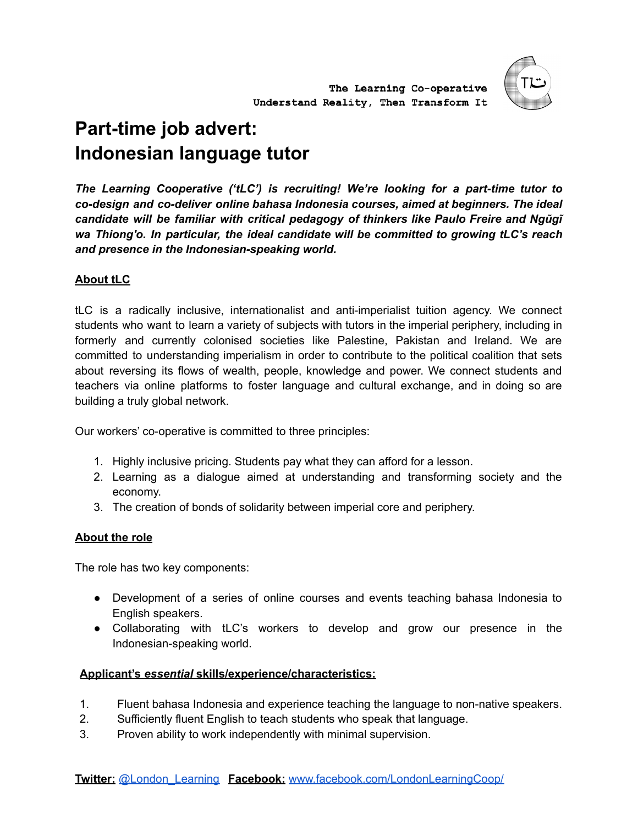

# **Part-time job advert: Indonesian language tutor**

*The Learning Cooperative ('tLC') is recruiting! We're looking for a part-time tutor to co-design and co-deliver online bahasa Indonesia courses, aimed at beginners. The ideal candidate will be familiar with critical pedagogy of thinkers like Paulo Freire and Ngũgĩ wa Thiong'o. In particular, the ideal candidate will be committed to growing tLC's reach and presence in the Indonesian-speaking world.*

## **About tLC**

tLC is a radically inclusive, internationalist and anti-imperialist tuition agency. We connect students who want to learn a variety of subjects with tutors in the imperial periphery, including in formerly and currently colonised societies like Palestine, Pakistan and Ireland. We are committed to understanding imperialism in order to contribute to the political coalition that sets about reversing its flows of wealth, people, knowledge and power. We connect students and teachers via online platforms to foster language and cultural exchange, and in doing so are building a truly global network.

Our workers' co-operative is committed to three principles:

- 1. Highly inclusive pricing. Students pay what they can afford for a lesson.
- 2. Learning as a dialogue aimed at understanding and transforming society and the economy.
- 3. The creation of bonds of solidarity between imperial core and periphery.

## **About the role**

The role has two key components:

- Development of a series of online courses and events teaching bahasa Indonesia to English speakers.
- Collaborating with tLC's workers to develop and grow our presence in the Indonesian-speaking world.

## **Applicant's** *essential* **skills/experience/characteristics:**

- 1. Fluent bahasa Indonesia and experience teaching the language to non-native speakers.
- 2. Sufficiently fluent English to teach students who speak that language.
- 3. Proven ability to work independently with minimal supervision.